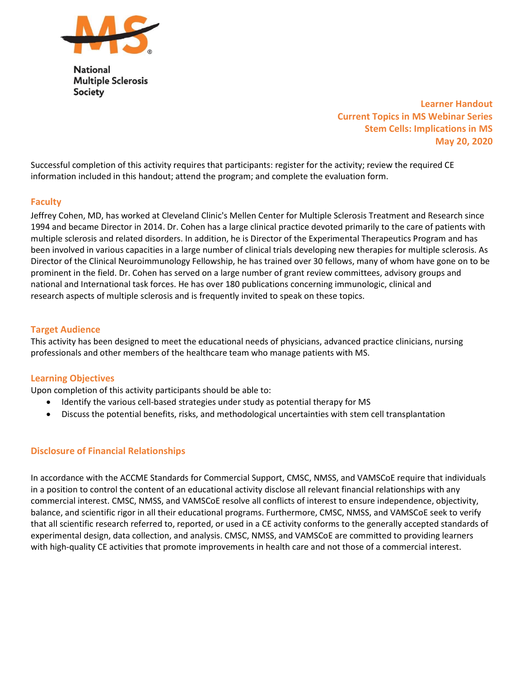

**National Multiple Sclerosis Society** 

> Learner Handout Current Topics in MS Webinar Series Stem Cells: Implications in MS May 20, 2020

Successful completion of this activity requires that participants: register for the activity; review the required CE information included in this handout; attend the program; and complete the evaluation form.

## **Faculty**

Jeffrey Cohen, MD, has worked at Cleveland Clinic's Mellen Center for Multiple Sclerosis Treatment and Research since 1994 and became Director in 2014. Dr. Cohen has a large clinical practice devoted primarily to the care of patients with multiple sclerosis and related disorders. In addition, he is Director of the Experimental Therapeutics Program and has been involved in various capacities in a large number of clinical trials developing new therapies for multiple sclerosis. As Director of the Clinical Neuroimmunology Fellowship, he has trained over 30 fellows, many of whom have gone on to be prominent in the field. Dr. Cohen has served on a large number of grant review committees, advisory groups and national and International task forces. He has over 180 publications concerning immunologic, clinical and research aspects of multiple sclerosis and is frequently invited to speak on these topics.

## Target Audience

This activity has been designed to meet the educational needs of physicians, advanced practice clinicians, nursing professionals and other members of the healthcare team who manage patients with MS.

## Learning Objectives

Upon completion of this activity participants should be able to:

- Identify the various cell-based strategies under study as potential therapy for MS
- Discuss the potential benefits, risks, and methodological uncertainties with stem cell transplantation

#### Disclosure of Financial Relationships

In accordance with the ACCME Standards for Commercial Support, CMSC, NMSS, and VAMSCoE require that individuals in a position to control the content of an educational activity disclose all relevant financial relationships with any commercial interest. CMSC, NMSS, and VAMSCoE resolve all conflicts of interest to ensure independence, objectivity, balance, and scientific rigor in all their educational programs. Furthermore, CMSC, NMSS, and VAMSCoE seek to verify that all scientific research referred to, reported, or used in a CE activity conforms to the generally accepted standards of experimental design, data collection, and analysis. CMSC, NMSS, and VAMSCoE are committed to providing learners with high-quality CE activities that promote improvements in health care and not those of a commercial interest.